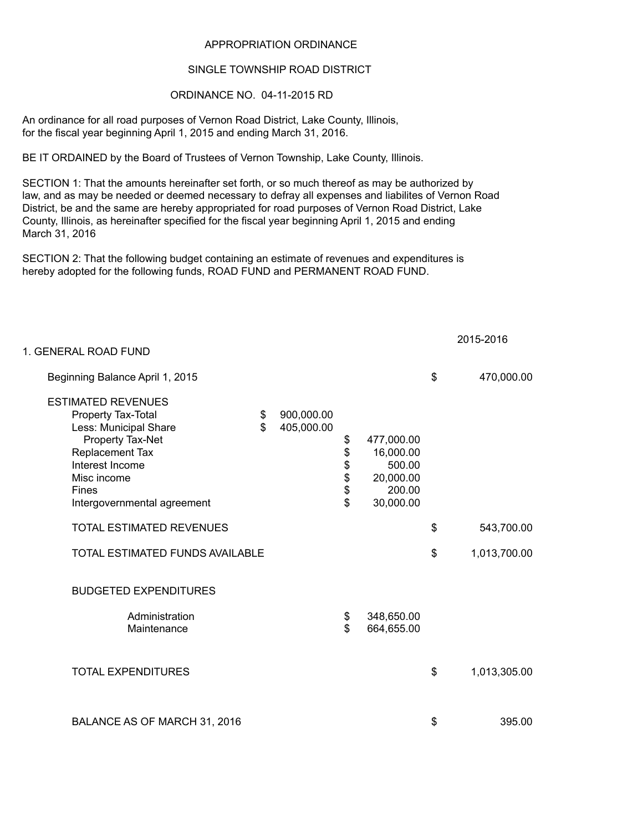## APPROPRIATION ORDINANCE

## SINGLE TOWNSHIP ROAD DISTRICT

## ORDINANCE NO. 04-11-2015 RD

An ordinance for all road purposes of Vernon Road District, Lake County, Illinois, for the fiscal year beginning April 1, 2015 and ending March 31, 2016.

BE IT ORDAINED by the Board of Trustees of Vernon Township, Lake County, Illinois.

law, and as may be needed or deemed necessary to defray all expenses and liabilites of Vernon Road District, be and the same are hereby appropriated for road purposes of Vernon Road District, Lake County, Illinois, as hereinafter specified for the fiscal year beginning April 1, 2015 and ending March 31, 2016 SECTION 1: That the amounts hereinafter set forth, or so much thereof as may be authorized by

SECTION 2: That the following budget containing an estimate of revenues and expenditures is hereby adopted for the following funds, ROAD FUND and PERMANENT ROAD FUND.

| 1. GENERAL ROAD FUND                                                                                                                                                                             |          |                          |                        |                                                                       |                    |
|--------------------------------------------------------------------------------------------------------------------------------------------------------------------------------------------------|----------|--------------------------|------------------------|-----------------------------------------------------------------------|--------------------|
| Beginning Balance April 1, 2015                                                                                                                                                                  |          |                          |                        |                                                                       | \$<br>470,000.00   |
| <b>ESTIMATED REVENUES</b><br>Property Tax-Total<br>Less: Municipal Share<br>Property Tax-Net<br>Replacement Tax<br>Interest Income<br>Misc income<br><b>Fines</b><br>Intergovernmental agreement | \$<br>\$ | 900,000.00<br>405,000.00 | \$<br>\$<br>\$\$<br>\$ | 477,000.00<br>16,000.00<br>500.00<br>20,000.00<br>200.00<br>30,000.00 |                    |
| <b>TOTAL ESTIMATED REVENUES</b>                                                                                                                                                                  |          |                          |                        |                                                                       | \$<br>543,700.00   |
| TOTAL ESTIMATED FUNDS AVAILABLE                                                                                                                                                                  |          |                          |                        |                                                                       | \$<br>1,013,700.00 |
| <b>BUDGETED EXPENDITURES</b>                                                                                                                                                                     |          |                          |                        |                                                                       |                    |
| Administration<br>Maintenance                                                                                                                                                                    |          |                          | \$<br>\$               | 348,650.00<br>664,655.00                                              |                    |
| <b>TOTAL EXPENDITURES</b>                                                                                                                                                                        |          |                          |                        |                                                                       | \$<br>1,013,305.00 |
| BALANCE AS OF MARCH 31, 2016                                                                                                                                                                     |          |                          |                        |                                                                       | \$<br>395.00       |

2015-2016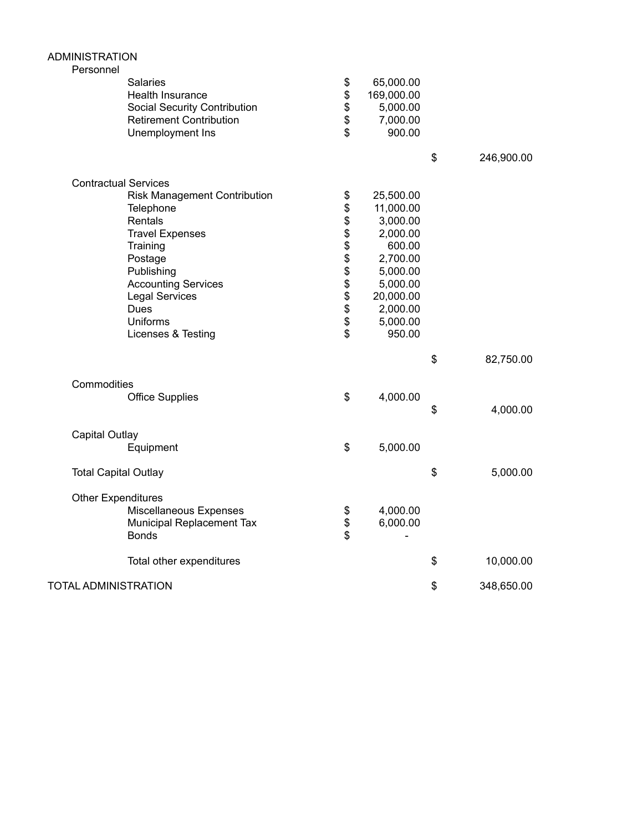| <b>ADMINISTRATION</b><br>Personnel                                                                                                                                                                                                        |                               |                                                                                                                                             |                  |
|-------------------------------------------------------------------------------------------------------------------------------------------------------------------------------------------------------------------------------------------|-------------------------------|---------------------------------------------------------------------------------------------------------------------------------------------|------------------|
| Salaries<br>Health Insurance<br><b>Social Security Contribution</b><br><b>Retirement Contribution</b><br>Unemployment Ins                                                                                                                 | \$<br>\$<br>\$<br>\$<br>\$    | 65,000.00<br>169,000.00<br>5,000.00<br>7,000.00<br>900.00                                                                                   |                  |
|                                                                                                                                                                                                                                           |                               |                                                                                                                                             | \$<br>246,900.00 |
| <b>Contractual Services</b>                                                                                                                                                                                                               |                               |                                                                                                                                             |                  |
| <b>Risk Management Contribution</b><br>Telephone<br>Rentals<br><b>Travel Expenses</b><br>Training<br>Postage<br>Publishing<br><b>Accounting Services</b><br><b>Legal Services</b><br><b>Dues</b><br><b>Uniforms</b><br>Licenses & Testing | \$<br><b>8888888888</b><br>\$ | 25,500.00<br>11,000.00<br>3,000.00<br>2,000.00<br>600.00<br>2,700.00<br>5,000.00<br>5,000.00<br>20,000.00<br>2,000.00<br>5,000.00<br>950.00 |                  |
|                                                                                                                                                                                                                                           |                               |                                                                                                                                             | \$<br>82,750.00  |
| Commodities<br><b>Office Supplies</b>                                                                                                                                                                                                     | \$                            | 4,000.00                                                                                                                                    | \$<br>4,000.00   |
| <b>Capital Outlay</b>                                                                                                                                                                                                                     |                               |                                                                                                                                             |                  |
| Equipment                                                                                                                                                                                                                                 | \$                            | 5,000.00                                                                                                                                    |                  |
| <b>Total Capital Outlay</b>                                                                                                                                                                                                               |                               |                                                                                                                                             | \$<br>5,000.00   |
| <b>Other Expenditures</b><br>Miscellaneous Expenses<br>Municipal Replacement Tax<br><b>Bonds</b>                                                                                                                                          | \$<br>\$<br>\$                | 4,000.00<br>6,000.00                                                                                                                        |                  |
| Total other expenditures                                                                                                                                                                                                                  |                               |                                                                                                                                             | \$<br>10,000.00  |
| <b>TOTAL ADMINISTRATION</b>                                                                                                                                                                                                               |                               |                                                                                                                                             | \$<br>348,650.00 |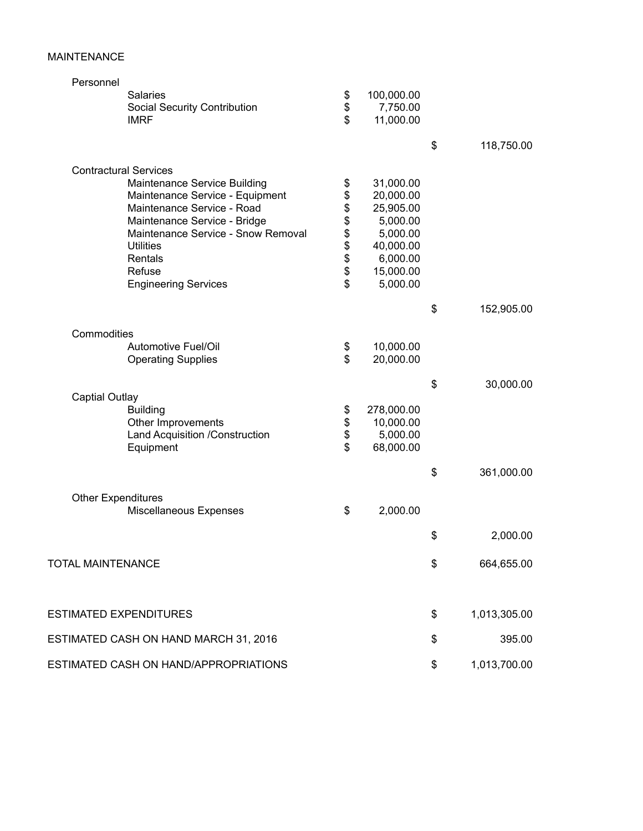## MAINTENANCE

| Personnel                             |        |            |                    |
|---------------------------------------|--------|------------|--------------------|
| Salaries                              | \$     | 100,000.00 |                    |
| <b>Social Security Contribution</b>   | \$     | 7,750.00   |                    |
| <b>IMRF</b>                           | \$     | 11,000.00  |                    |
|                                       |        |            | \$<br>118,750.00   |
| <b>Contractural Services</b>          |        |            |                    |
| Maintenance Service Building          | \$     | 31,000.00  |                    |
| Maintenance Service - Equipment       | \$     | 20,000.00  |                    |
| Maintenance Service - Road            | \$     | 25,905.00  |                    |
| Maintenance Service - Bridge          | \$     | 5,000.00   |                    |
| Maintenance Service - Snow Removal    |        | 5,000.00   |                    |
| <b>Utilities</b>                      | \$\$\$ | 40,000.00  |                    |
| Rentals                               |        | 6,000.00   |                    |
| Refuse                                |        | 15,000.00  |                    |
| <b>Engineering Services</b>           | \$     | 5,000.00   |                    |
|                                       |        |            | \$<br>152,905.00   |
| Commodities                           |        |            |                    |
| Automotive Fuel/Oil                   | \$     | 10,000.00  |                    |
| <b>Operating Supplies</b>             | \$     | 20,000.00  |                    |
|                                       |        |            |                    |
| <b>Captial Outlay</b>                 |        |            | \$<br>30,000.00    |
| <b>Building</b>                       | \$     | 278,000.00 |                    |
| Other Improvements                    | \$     | 10,000.00  |                    |
| Land Acquisition /Construction        | \$     | 5,000.00   |                    |
| Equipment                             | \$     | 68,000.00  |                    |
|                                       |        |            |                    |
|                                       |        |            | \$<br>361,000.00   |
| <b>Other Expenditures</b>             |        |            |                    |
| Miscellaneous Expenses                | \$     | 2,000.00   |                    |
|                                       |        |            | \$<br>2,000.00     |
|                                       |        |            |                    |
| <b>TOTAL MAINTENANCE</b>              |        |            | \$<br>664,655.00   |
| <b>ESTIMATED EXPENDITURES</b>         |        |            | \$<br>1,013,305.00 |
|                                       |        |            |                    |
| ESTIMATED CASH ON HAND MARCH 31, 2016 |        |            | \$<br>395.00       |
| ESTIMATED CASH ON HAND/APPROPRIATIONS |        |            | \$<br>1,013,700.00 |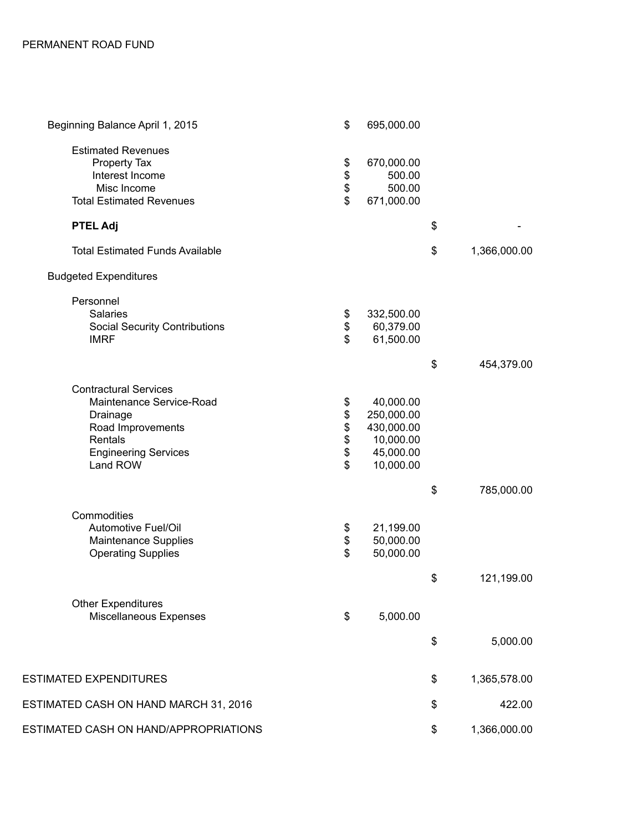| Beginning Balance April 1, 2015                                                                                                                 | \$                               | 695,000.00                                                                   |                    |
|-------------------------------------------------------------------------------------------------------------------------------------------------|----------------------------------|------------------------------------------------------------------------------|--------------------|
| <b>Estimated Revenues</b><br>Property Tax<br>Interest Income<br>Misc Income<br><b>Total Estimated Revenues</b>                                  | \$\$\$\$                         | 670,000.00<br>500.00<br>500.00<br>671,000.00                                 |                    |
| <b>PTEL Adj</b>                                                                                                                                 |                                  |                                                                              | \$                 |
| <b>Total Estimated Funds Available</b>                                                                                                          |                                  |                                                                              | \$<br>1,366,000.00 |
| <b>Budgeted Expenditures</b>                                                                                                                    |                                  |                                                                              |                    |
| Personnel<br>Salaries<br><b>Social Security Contributions</b><br><b>IMRF</b>                                                                    | \$<br>\$<br>$\mathfrak{S}$       | 332,500.00<br>60,379.00<br>61,500.00                                         |                    |
|                                                                                                                                                 |                                  |                                                                              | \$<br>454,379.00   |
| <b>Contractural Services</b><br>Maintenance Service-Road<br>Drainage<br>Road Improvements<br>Rentals<br><b>Engineering Services</b><br>Land ROW | \$<br>\$\$\$\$<br>$\mathfrak{S}$ | 40,000.00<br>250,000.00<br>430,000.00<br>10,000.00<br>45,000.00<br>10,000.00 |                    |
|                                                                                                                                                 |                                  |                                                                              | \$<br>785,000.00   |
| Commodities<br>Automotive Fuel/Oil<br>Maintenance Supplies<br><b>Operating Supplies</b>                                                         | \$<br>\$<br>\$                   | 21,199.00<br>50,000.00<br>50,000.00                                          |                    |
|                                                                                                                                                 |                                  |                                                                              | \$<br>121,199.00   |
| <b>Other Expenditures</b><br>Miscellaneous Expenses                                                                                             | \$                               | 5,000.00                                                                     |                    |
|                                                                                                                                                 |                                  |                                                                              | \$<br>5,000.00     |
| <b>ESTIMATED EXPENDITURES</b>                                                                                                                   |                                  |                                                                              | \$<br>1,365,578.00 |
| ESTIMATED CASH ON HAND MARCH 31, 2016                                                                                                           |                                  |                                                                              | \$<br>422.00       |
| ESTIMATED CASH ON HAND/APPROPRIATIONS                                                                                                           |                                  |                                                                              | \$<br>1,366,000.00 |